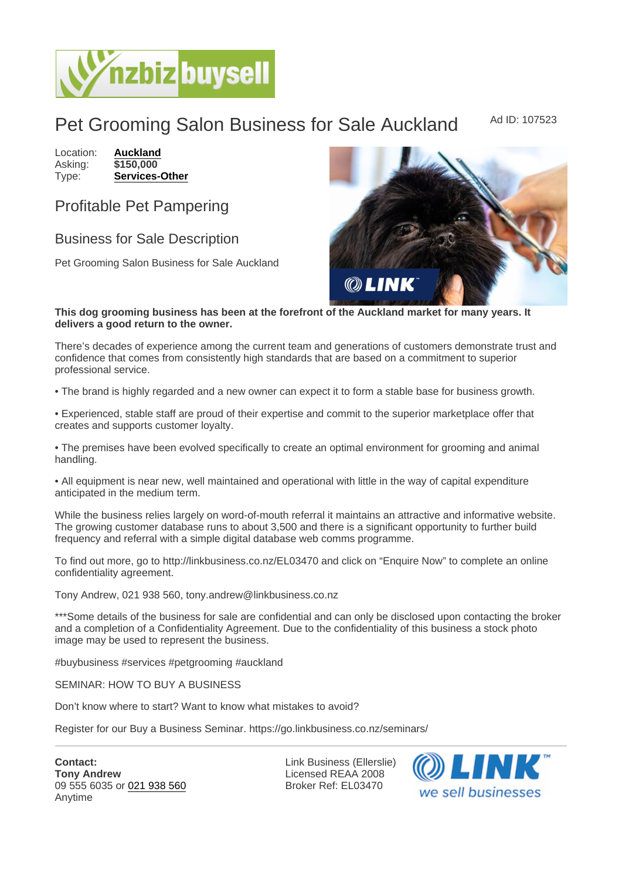## Pet Grooming Salon Business for Sale Auckland Ad ID: 107523

Location: [Auckland](https://www.nzbizbuysell.co.nz/businesses-for-sale/location/Auckland) Asking: \$150,000<br>Type: **Services-0** [Services-Other](https://www.nzbizbuysell.co.nz/businesses-for-sale/Services/New-Zealand)

## Profitable Pet Pampering

## Business for Sale Description

Pet Grooming Salon Business for Sale Auckland

This dog grooming business has been at the forefront of the Auckland market for many years. It delivers a good return to the owner.

There's decades of experience among the current team and generations of customers demonstrate trust and confidence that comes from consistently high standards that are based on a commitment to superior professional service.

• The brand is highly regarded and a new owner can expect it to form a stable base for business growth.

• Experienced, stable staff are proud of their expertise and commit to the superior marketplace offer that creates and supports customer loyalty.

• The premises have been evolved specifically to create an optimal environment for grooming and animal handling.

• All equipment is near new, well maintained and operational with little in the way of capital expenditure anticipated in the medium term.

While the business relies largely on word-of-mouth referral it maintains an attractive and informative website. The growing customer database runs to about 3,500 and there is a significant opportunity to further build frequency and referral with a simple digital database web comms programme.

To find out more, go to http://linkbusiness.co.nz/EL03470 and click on "Enquire Now" to complete an online confidentiality agreement.

Tony Andrew, 021 938 560, tony.andrew@linkbusiness.co.nz

\*\*\*Some details of the business for sale are confidential and can only be disclosed upon contacting the broker and a completion of a Confidentiality Agreement. Due to the confidentiality of this business a stock photo image may be used to represent the business.

#buybusiness #services #petgrooming #auckland

SEMINAR: HOW TO BUY A BUSINESS

Don't know where to start? Want to know what mistakes to avoid?

Register for our Buy a Business Seminar. https://go.linkbusiness.co.nz/seminars/

Contact: Tony Andrew 09 555 6035 or [021 938 560](tel:021 938 560) Anytime

Link Business (Ellerslie) Licensed REAA 2008 Broker Ref: EL03470